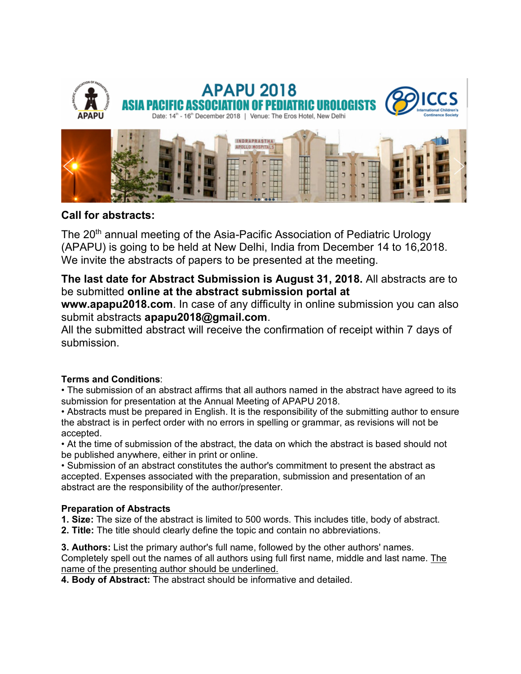

# **Call for abstracts:**

The 20<sup>th</sup> annual meeting of the Asia-Pacific Association of Pediatric Urology (APAPU) is going to be held at New Delhi, India from December 14 to 16,2018. We invite the abstracts of papers to be presented at the meeting.

# **The last date for Abstract Submission is August 31, 2018.** All abstracts are to be submitted **online at the abstract submission portal at**

**www.apapu2018.com**[. In case of any d](http://www.apapu2018.com/)ifficulty in online submission you can also submit abstracts **apapu2018@gmail.com**.

All the submitted abstract will receive the confirmation of receipt within 7 days of submission.

## **Terms and Conditions**:

• The submission of an abstract affirms that all authors named in the abstract have agreed to its submission for presentation at the Annual Meeting of APAPU 2018.

• Abstracts must be prepared in English. It is the responsibility of the submitting author to ensure the abstract is in perfect order with no errors in spelling or grammar, as revisions will not be accepted.

• At the time of submission of the abstract, the data on which the abstract is based should not be published anywhere, either in print or online.

• Submission of an abstract constitutes the author's commitment to present the abstract as accepted. Expenses associated with the preparation, submission and presentation of an abstract are the responsibility of the author/presenter.

#### **Preparation of Abstracts**

**1. Size:** [The size](https://www.eventscribe.com/2017/wce2017/abstracts.asp#collapse3) of the abstract is limited to 500 words. This includes title, body of abstract. **2. Title:** The title should clearly define the topic and contain no abbreviations.

**3. Authors:** List the primary author's full name, followed by the other authors' names. Completely spell out the names of all authors using full first name, middle and last name. The name of the presenting author should be underlined.

**4. Body of Abstract:** The abstract should be informative and detailed.